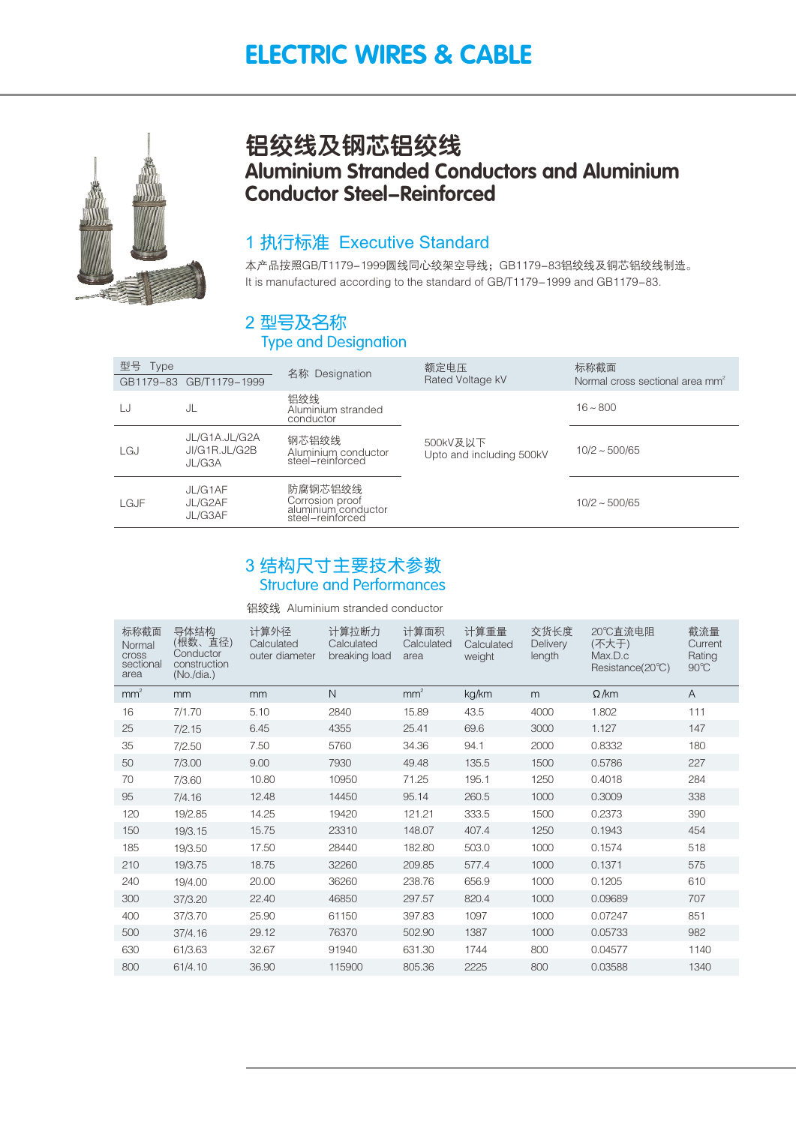## ELECTRIC WIRES & CABLE



## 铝绞线及钢芯铝绞线 Aluminium Stranded Conductors and Aluminium Conductor Steel-Reinforced

### 1 执行标准 Executive Standard

本产品按照GB/T1179–1999圆线同心绞架空导线;GB1179–83铝绞线及铜芯铝绞线制造。 It is manufactured according to the standard of GB/T1179-1999 and GB1179-83.

## 2 型号及名称

### Type and Designation

| 型묵<br><b>Type</b> | GB1179-83 GB/T1179-1999                  | 名称 Designation                                                        | 额定电压<br>Rated Voltage kV             | 标称截面<br>Normal cross sectional area mm <sup>2</sup> |  |
|-------------------|------------------------------------------|-----------------------------------------------------------------------|--------------------------------------|-----------------------------------------------------|--|
| LJ                | JL                                       | 铝绞线<br>Aluminium stranded<br>conductor                                |                                      | $16 - 800$                                          |  |
| LGJ               | JL/G1A.JL/G2A<br>JI/G1R.JL/G2B<br>JL/G3A | 钢芯铝绞线<br>Aluminium conductor<br>steel-reinforced                      | 500kV及以下<br>Upto and including 500kV | $10/2 \sim 500/65$                                  |  |
| LGJF              | JL/G1AF<br>JL/G2AF<br>JL/G3AF            | 防腐钢芯铝绞线<br>Corrosion proof<br>aluminium conductor<br>steel-reinforced |                                      | $10/2 \sim 500/65$                                  |  |

### 3 结构尺寸主要技术参数 Structure and Performances

铝绞线 Aluminium stranded conductor

| 标称截面<br>Normal<br><b>Cross</b><br>sectional<br>area | 导体结构<br>(根数、直径)<br>Conductor<br>construction<br>(No./dia.) | 计算外径<br>Calculated<br>outer diameter | 计算拉断力<br>Calculated<br>breaking load | 计算面积<br>Calculated<br>area | 计算重量<br>Calculated<br>weight | 交货长度<br><b>Delivery</b><br>length | 20℃直流电阻<br>(不大于)<br>Max.D.c<br>Resistance(20°C) | 截流量<br>Current<br>Rating<br>$90^{\circ}$ C |
|-----------------------------------------------------|------------------------------------------------------------|--------------------------------------|--------------------------------------|----------------------------|------------------------------|-----------------------------------|-------------------------------------------------|--------------------------------------------|
| mm <sup>2</sup>                                     | mm                                                         | mm                                   | $\mathsf{N}$                         | mm <sup>2</sup>            | kg/km                        | m                                 | $\Omega$ /km                                    | A                                          |
| 16                                                  | 7/1.70                                                     | 5.10                                 | 2840                                 | 15.89                      | 43.5                         | 4000                              | 1.802                                           | 111                                        |
| 25                                                  | 7/2.15                                                     | 6.45                                 | 4355                                 | 25.41                      | 69.6                         | 3000                              | 1.127                                           | 147                                        |
| 35                                                  | 7/2.50                                                     | 7.50                                 | 5760                                 | 34.36                      | 94.1                         | 2000                              | 0.8332                                          | 180                                        |
| 50                                                  | 7/3.00                                                     | 9.00                                 | 7930                                 | 49.48                      | 135.5                        | 1500                              | 0.5786                                          | 227                                        |
| 70                                                  | 7/3.60                                                     | 10.80                                | 10950                                | 71.25                      | 195.1                        | 1250                              | 0.4018                                          | 284                                        |
| 95                                                  | 7/4.16                                                     | 12.48                                | 14450                                | 95.14                      | 260.5                        | 1000                              | 0.3009                                          | 338                                        |
| 120                                                 | 19/2.85                                                    | 14.25                                | 19420                                | 121.21                     | 333.5                        | 1500                              | 0.2373                                          | 390                                        |
| 150                                                 | 19/3.15                                                    | 15.75                                | 23310                                | 148.07                     | 407.4                        | 1250                              | 0.1943                                          | 454                                        |
| 185                                                 | 19/3.50                                                    | 17.50                                | 28440                                | 182.80                     | 503.0                        | 1000                              | 0.1574                                          | 518                                        |
| 210                                                 | 19/3.75                                                    | 18.75                                | 32260                                | 209.85                     | 577.4                        | 1000                              | 0.1371                                          | 575                                        |
| 240                                                 | 19/4.00                                                    | 20.00                                | 36260                                | 238.76                     | 656.9                        | 1000                              | 0.1205                                          | 610                                        |
| 300                                                 | 37/3.20                                                    | 22.40                                | 46850                                | 297.57                     | 820.4                        | 1000                              | 0.09689                                         | 707                                        |
| 400                                                 | 37/3.70                                                    | 25.90                                | 61150                                | 397.83                     | 1097                         | 1000                              | 0.07247                                         | 851                                        |
| 500                                                 | 37/4.16                                                    | 29.12                                | 76370                                | 502.90                     | 1387                         | 1000                              | 0.05733                                         | 982                                        |
| 630                                                 | 61/3.63                                                    | 32.67                                | 91940                                | 631.30                     | 1744                         | 800                               | 0.04577                                         | 1140                                       |
| 800                                                 | 61/4.10                                                    | 36.90                                | 115900                               | 805.36                     | 2225                         | 800                               | 0.03588                                         | 1340                                       |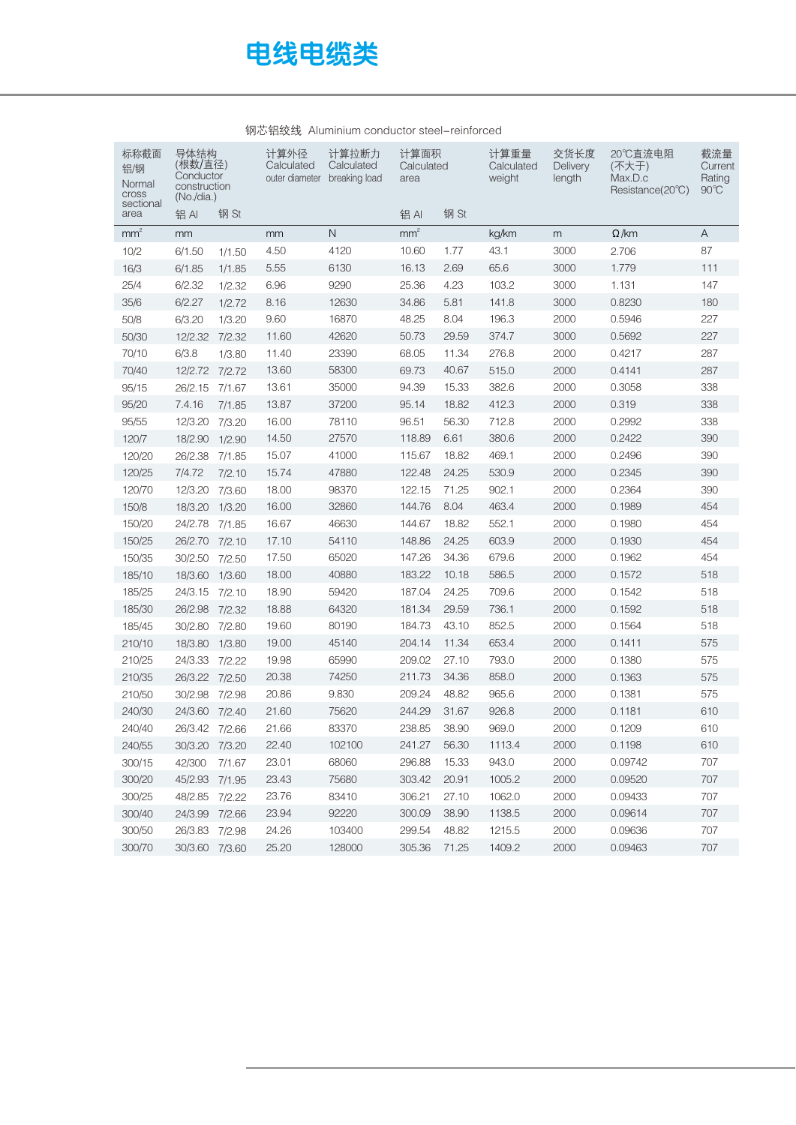# 电线电缆类

| 标称截面<br>铝/钢<br>Normal<br>cross | 导体结构<br>计算外径<br>(根数/直径)<br>Calculated<br>Conductor<br>outer diameter<br>construction<br>(No./dia.) |        | 计算面积<br>计算拉断力<br>Calculated<br>Calculated<br>breaking load<br>area |              | 计算重量<br>Calculated<br>weight | 交货长度<br><b>Delivery</b><br>length | 20℃直流电阻<br>(不大于)<br>Max.D.c<br>Resistance(20°C) | 截流量<br>Current<br>Rating<br>$90^{\circ}$ C |              |     |
|--------------------------------|----------------------------------------------------------------------------------------------------|--------|--------------------------------------------------------------------|--------------|------------------------------|-----------------------------------|-------------------------------------------------|--------------------------------------------|--------------|-----|
| sectional<br>area              | 铝AI                                                                                                | 钢 St   |                                                                    |              | 铝AI                          | 钢 St                              |                                                 |                                            |              |     |
| mm <sup>2</sup>                | mm                                                                                                 |        | mm                                                                 | $\mathsf{N}$ | mm <sup>2</sup>              |                                   | kg/km                                           | m                                          | $\Omega$ /km | A   |
| 10/2                           | 6/1.50                                                                                             | 1/1.50 | 4.50                                                               | 4120         | 10.60                        | 1.77                              | 43.1                                            | 3000                                       | 2.706        | 87  |
| 16/3                           | 6/1.85                                                                                             | 1/1.85 | 5.55                                                               | 6130         | 16.13                        | 2.69                              | 65.6                                            | 3000                                       | 1.779        | 111 |
| 25/4                           | 6/2.32                                                                                             | 1/2.32 | 6.96                                                               | 9290         | 25.36                        | 4.23                              | 103.2                                           | 3000                                       | 1.131        | 147 |
| 35/6                           | 6/2.27                                                                                             | 1/2.72 | 8.16                                                               | 12630        | 34.86                        | 5.81                              | 141.8                                           | 3000                                       | 0.8230       | 180 |
| 50/8                           | 6/3.20                                                                                             | 1/3.20 | 9.60                                                               | 16870        | 48.25                        | 8.04                              | 196.3                                           | 2000                                       | 0.5946       | 227 |
| 50/30                          | 12/2.32                                                                                            | 7/2.32 | 11.60                                                              | 42620        | 50.73                        | 29.59                             | 374.7                                           | 3000                                       | 0.5692       | 227 |
| 70/10                          | 6/3.8                                                                                              | 1/3.80 | 11.40                                                              | 23390        | 68.05                        | 11.34                             | 276.8                                           | 2000                                       | 0.4217       | 287 |
| 70/40                          | 12/2.72                                                                                            | 7/2.72 | 13.60                                                              | 58300        | 69.73                        | 40.67                             | 515.0                                           | 2000                                       | 0.4141       | 287 |
| 95/15                          | 26/2.15                                                                                            | 7/1.67 | 13.61                                                              | 35000        | 94.39                        | 15.33                             | 382.6                                           | 2000                                       | 0.3058       | 338 |
| 95/20                          | 7.4.16                                                                                             | 7/1.85 | 13.87                                                              | 37200        | 95.14                        | 18.82                             | 412.3                                           | 2000                                       | 0.319        | 338 |
| 95/55                          | 12/3.20                                                                                            | 7/3.20 | 16.00                                                              | 78110        | 96.51                        | 56.30                             | 712.8                                           | 2000                                       | 0.2992       | 338 |
| 120/7                          | 18/2.90                                                                                            | 1/2.90 | 14.50                                                              | 27570        | 118.89                       | 6.61                              | 380.6                                           | 2000                                       | 0.2422       | 390 |
| 120/20                         | 26/2.38                                                                                            | 7/1.85 | 15.07                                                              | 41000        | 115.67                       | 18.82                             | 469.1                                           | 2000                                       | 0.2496       | 390 |
| 120/25                         | 7/4.72                                                                                             | 7/2.10 | 15.74                                                              | 47880        | 122.48                       | 24.25                             | 530.9                                           | 2000                                       | 0.2345       | 390 |
| 120/70                         | 12/3.20                                                                                            | 7/3.60 | 18.00                                                              | 98370        | 122.15                       | 71.25                             | 902.1                                           | 2000                                       | 0.2364       | 390 |
| 150/8                          | 18/3.20                                                                                            | 1/3.20 | 16.00                                                              | 32860        | 144.76                       | 8.04                              | 463.4                                           | 2000                                       | 0.1989       | 454 |
| 150/20                         | 24/2.78                                                                                            | 7/1.85 | 16.67                                                              | 46630        | 144.67                       | 18.82                             | 552.1                                           | 2000                                       | 0.1980       | 454 |
| 150/25                         | 26/2.70                                                                                            | 7/2.10 | 17.10                                                              | 54110        | 148.86                       | 24.25                             | 603.9                                           | 2000                                       | 0.1930       | 454 |
| 150/35                         | 30/2.50                                                                                            | 7/2.50 | 17.50                                                              | 65020        | 147.26                       | 34.36                             | 679.6                                           | 2000                                       | 0.1962       | 454 |
| 185/10                         | 18/3.60                                                                                            | 1/3.60 | 18.00                                                              | 40880        | 183.22                       | 10.18                             | 586.5                                           | 2000                                       | 0.1572       | 518 |
| 185/25                         | 24/3.15                                                                                            | 7/2.10 | 18.90                                                              | 59420        | 187.04                       | 24.25                             | 709.6                                           | 2000                                       | 0.1542       | 518 |
| 185/30                         | 26/2.98                                                                                            | 7/2.32 | 18.88                                                              | 64320        | 181.34                       | 29.59                             | 736.1                                           | 2000                                       | 0.1592       | 518 |
| 185/45                         | 30/2.80                                                                                            | 7/2.80 | 19.60                                                              | 80190        | 184.73                       | 43.10                             | 852.5                                           | 2000                                       | 0.1564       | 518 |
| 210/10                         | 18/3.80                                                                                            | 1/3.80 | 19.00                                                              | 45140        | 204.14                       | 11.34                             | 653.4                                           | 2000                                       | 0.1411       | 575 |
| 210/25                         | 24/3.33                                                                                            | 7/2.22 | 19.98                                                              | 65990        | 209.02                       | 27.10                             | 793.0                                           | 2000                                       | 0.1380       | 575 |
| 210/35                         | 26/3.22 7/2.50                                                                                     |        | 20.38                                                              | 74250        | 211.73                       | 34.36                             | 858.0                                           | 2000                                       | 0.1363       | 575 |
| 210/50                         | 30/2.98                                                                                            | 7/2.98 | 20.86                                                              | 9.830        | 209.24                       | 48.82                             | 965.6                                           | 2000                                       | 0.1381       | 575 |
| 240/30                         | 24/3.60                                                                                            | 7/2.40 | 21.60                                                              | 75620        | 244.29                       | 31.67                             | 926.8                                           | 2000                                       | 0.1181       | 610 |
| 240/40                         | 26/3.42 7/2.66                                                                                     |        | 21.66                                                              | 83370        | 238.85                       | 38.90                             | 969.0                                           | 2000                                       | 0.1209       | 610 |
| 240/55                         | 30/3.20 7/3.20                                                                                     |        | 22.40                                                              | 102100       | 241.27                       | 56.30                             | 1113.4                                          | 2000                                       | 0.1198       | 610 |
| 300/15                         | 42/300                                                                                             | 7/1.67 | 23.01                                                              | 68060        | 296.88                       | 15.33                             | 943.0                                           | 2000                                       | 0.09742      | 707 |
| 300/20                         | 45/2.93 7/1.95                                                                                     |        | 23.43                                                              | 75680        | 303.42                       | 20.91                             | 1005.2                                          | 2000                                       | 0.09520      | 707 |
| 300/25                         | 48/2.85 7/2.22                                                                                     |        | 23.76                                                              | 83410        | 306.21                       | 27.10                             | 1062.0                                          | 2000                                       | 0.09433      | 707 |
| 300/40                         | 24/3.99 7/2.66                                                                                     |        | 23.94                                                              | 92220        | 300.09                       | 38.90                             | 1138.5                                          | 2000                                       | 0.09614      | 707 |
| 300/50                         | 26/3.83 7/2.98                                                                                     |        | 24.26                                                              | 103400       | 299.54                       | 48.82                             | 1215.5                                          | 2000                                       | 0.09636      | 707 |
| 300/70                         | 30/3.60 7/3.60                                                                                     |        | 25.20                                                              | 128000       | 305.36                       | 71.25                             | 1409.2                                          | 2000                                       | 0.09463      | 707 |
|                                |                                                                                                    |        |                                                                    |              |                              |                                   |                                                 |                                            |              |     |

#### 钢芯铝绞线 Aluminium conductor steel-reinforced